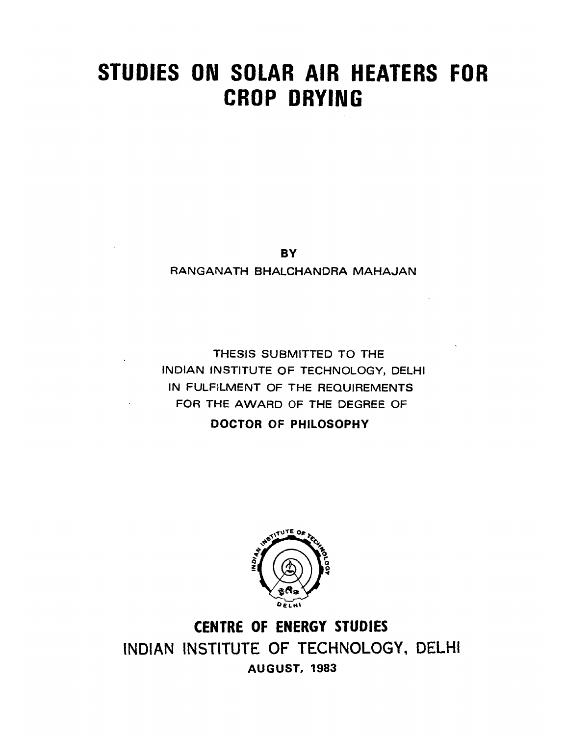# **STUDIES ON SOLAR AIR HEATERS FOR CROP DRYING**

**BY** 

**RANGANATH BHALCHANDRA MAHAJAN** 

**THESIS SUBMITTED TO THE INDIAN INSTITUTE OF TECHNOLOGY, DELHI IN FULFILMENT OF THE REQUIREMENTS FOR THE AWARD OF THE DEGREE OF** 

**DOCTOR OF PHILOSOPHY** 



**CENTRE OF ENERGY STUDIES INDIAN INSTITUTE OF TECHNOLOGY, DELHI AUGUST, 1983**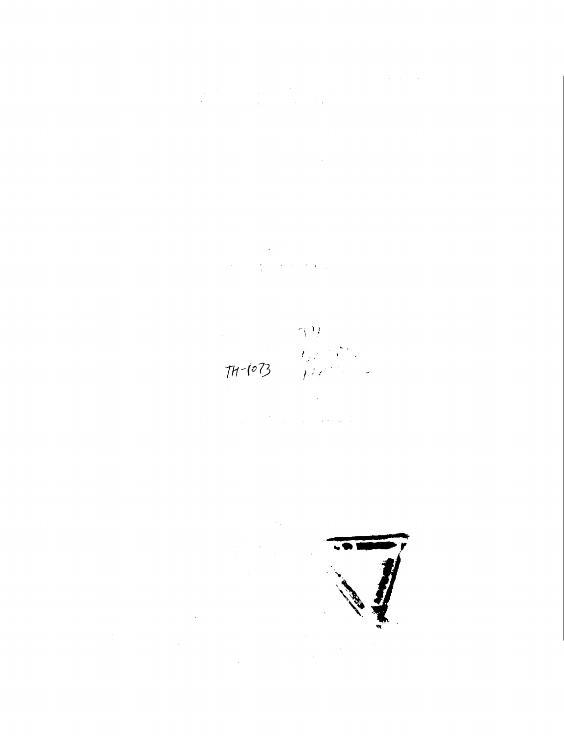$\label{eq:2.1} \frac{1}{\sqrt{2}}\int_{\mathbb{R}^3}\frac{1}{\sqrt{2}}\left(\frac{1}{\sqrt{2}}\right)^2\frac{1}{\sqrt{2}}\left(\frac{1}{\sqrt{2}}\right)^2\frac{1}{\sqrt{2}}\left(\frac{1}{\sqrt{2}}\right)^2\frac{1}{\sqrt{2}}\left(\frac{1}{\sqrt{2}}\right)^2.$ 

 $\label{eq:2.1} \frac{1}{\sqrt{2}}\int_{\mathbb{R}^3}\frac{1}{\sqrt{2}}\left(\frac{1}{\sqrt{2}}\right)^2\frac{1}{\sqrt{2}}\left(\frac{1}{\sqrt{2}}\right)^2\frac{1}{\sqrt{2}}\left(\frac{1}{\sqrt{2}}\right)^2\frac{1}{\sqrt{2}}\left(\frac{1}{\sqrt{2}}\right)^2\frac{1}{\sqrt{2}}\left(\frac{1}{\sqrt{2}}\right)^2\frac{1}{\sqrt{2}}\frac{1}{\sqrt{2}}\frac{1}{\sqrt{2}}\frac{1}{\sqrt{2}}\frac{1}{\sqrt{2}}\frac{1}{\sqrt{2}}$  $\label{eq:2.1} \mathcal{L}^{\mathcal{A}}(\mathcal{A}^{\mathcal{A}}_{\mathcal{A}}) = \mathcal{L}^{\mathcal{A}}_{\mathcal{A}}(\mathcal{A}^{\mathcal{A}}_{\mathcal{A}}) = \mathcal{L}^{\mathcal{A}}_{\mathcal{A}}(\mathcal{A}^{\mathcal{A}}_{\mathcal{A}}) = \mathcal{L}^{\mathcal{A}}_{\mathcal{A}}(\mathcal{A}^{\mathcal{A}}_{\mathcal{A}}) = \mathcal{L}^{\mathcal{A}}_{\mathcal{A}}(\mathcal{A}^{\mathcal{A}}_{\mathcal{A}})$ 

 $77$  $\label{eq:2.1} \begin{split} \mathcal{L}_{\text{max}}(\mathbf{r}) = \mathcal{L}_{\text{max}}(\mathbf{r}) \mathcal{L}_{\text{max}}(\mathbf{r}) \mathcal{L}_{\text{max}}(\mathbf{r}) \mathcal{L}_{\text{max}}(\mathbf{r}) \mathcal{L}_{\text{max}}(\mathbf{r}) \mathcal{L}_{\text{max}}(\mathbf{r}) \mathcal{L}_{\text{max}}(\mathbf{r}) \mathcal{L}_{\text{max}}(\mathbf{r}) \mathcal{L}_{\text{max}}(\mathbf{r}) \mathcal{L}_{\text{max}}(\mathbf{r}) \mathcal{L}_{\text{max}}(\mathbf{r}) \$ 

 $\label{eq:2.1} \mathcal{L}^{\mathcal{A}}_{\mathcal{A}}(\mathcal{A}) = \mathcal{L}^{\mathcal{A}}_{\mathcal{A}}(\mathcal{A}) = \mathcal{L}^{\mathcal{A}}_{\mathcal{A}}(\mathcal{A}) = \mathcal{L}^{\mathcal{A}}_{\mathcal{A}}(\mathcal{A}) = \mathcal{L}^{\mathcal{A}}_{\mathcal{A}}(\mathcal{A}) = \mathcal{L}^{\mathcal{A}}_{\mathcal{A}}(\mathcal{A})$ 

 $\label{eq:2.1} \frac{1}{\sqrt{2}}\int_{\mathbb{R}^3}\frac{1}{\sqrt{2}}\left(\frac{1}{\sqrt{2}}\right)^2\frac{1}{\sqrt{2}}\left(\frac{1}{\sqrt{2}}\right)^2\frac{1}{\sqrt{2}}\left(\frac{1}{\sqrt{2}}\right)^2\frac{1}{\sqrt{2}}\left(\frac{1}{\sqrt{2}}\right)^2.$ 

 $\label{eq:2.1} \frac{1}{2}\sum_{i=1}^n\frac{1}{2}\sum_{j=1}^n\frac{1}{2}\sum_{j=1}^n\frac{1}{2}\sum_{j=1}^n\frac{1}{2}\sum_{j=1}^n\frac{1}{2}\sum_{j=1}^n\frac{1}{2}\sum_{j=1}^n\frac{1}{2}\sum_{j=1}^n\frac{1}{2}\sum_{j=1}^n\frac{1}{2}\sum_{j=1}^n\frac{1}{2}\sum_{j=1}^n\frac{1}{2}\sum_{j=1}^n\frac{1}{2}\sum_{j=1}^n\frac{1}{2}\sum_{j=1}^n\$  $\label{eq:2.1} \frac{1}{\sqrt{2}}\int_{\mathbb{R}^3}\frac{1}{\sqrt{2}}\left(\frac{1}{\sqrt{2}}\right)^2\frac{1}{\sqrt{2}}\left(\frac{1}{\sqrt{2}}\right)^2\frac{1}{\sqrt{2}}\left(\frac{1}{\sqrt{2}}\right)^2.$  $\ddot{\phantom{1}}$ 

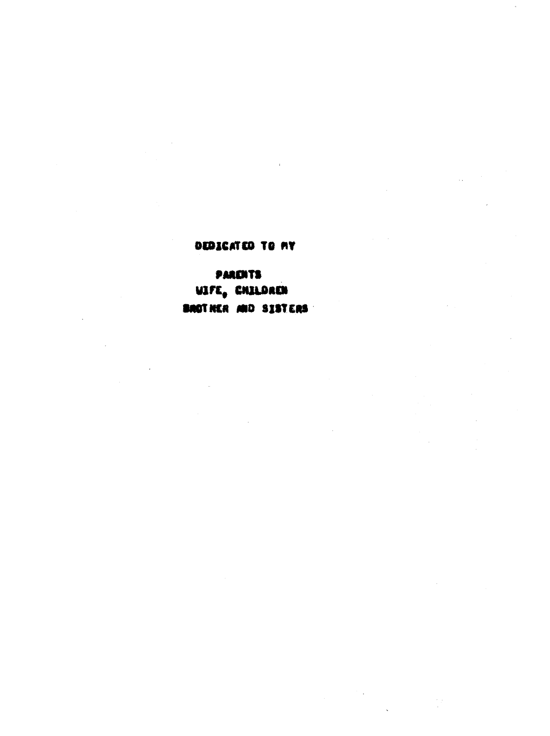### DEDICATED TO MY

### **PARENTS**

WIFE, CHILDREN BROTHER AND SISTERS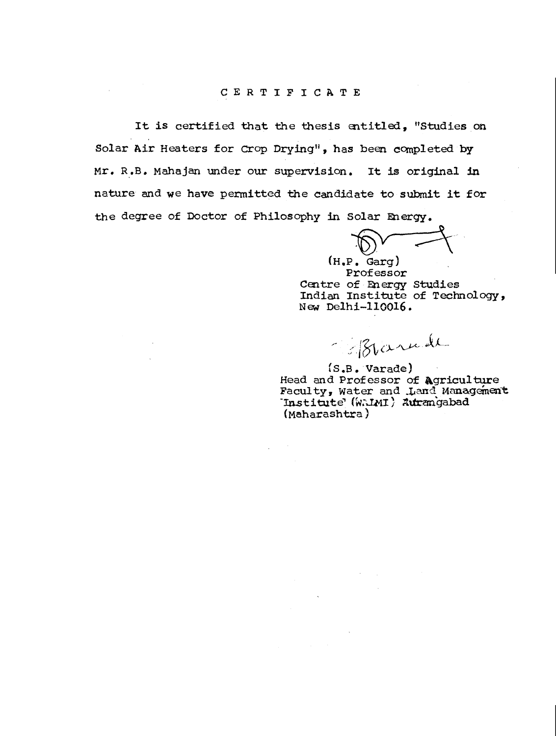#### CERTIFICATE

It is certified that the thesis entitled, "Studies on Solar Air Heaters for Crop. Drying", has been completed by Mr. R.B. Mahajan under our supervision. It is original in nature and we have permitted the candidate to submit it for the degree of Doctor of Philosophy in Solar Energy.

 $(H, P, Garq)$ Professor Centre of Energy Studies Indian Institute of Technology, New Delhi-110016.

- Blanch

fS.B. Varade) Head and Professor of agriculture Faculty, Water and Land Management Institute' (WAIMI) Autrangabad (Maharashtra)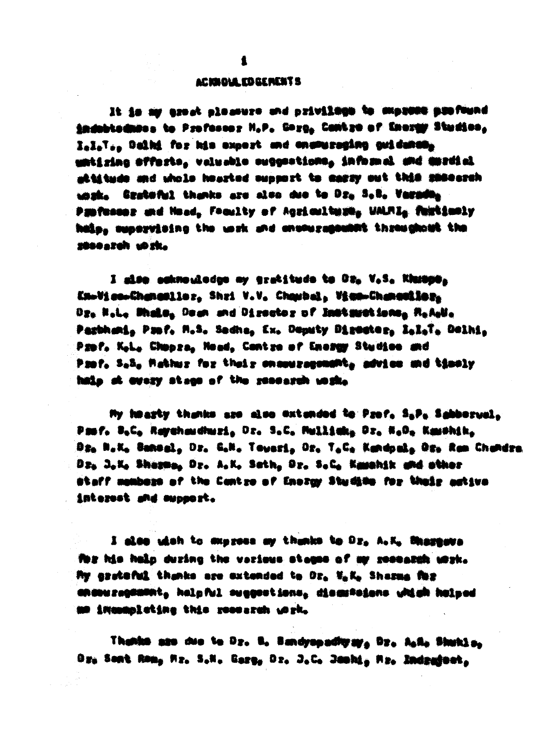#### ACIDOLA ED GENENT S

It is my exact placeura and privilege to express pastuand indobtadases to Professor N.P. Garg, Cantro of Energy Studios, lili. Daini for his supert and ensmuraging guidance, untizing sffests, velueble suggestions, informed and massial attitude and shole hourted support to easy out this success. sazk. Gratoful thanks are also due to Dr. S.C. Varada. Papfasesz and Hood, Froulty of Agzioultage, UALRI, familantly hale, supervising the work and ensouragement threegement the 2850 a 2011 10 22.

I also auknouledge my gratitude to Dz. V.S. Khuspe. Knotice-Changeller, Shri V.V. Chambel, View-Changeller, Dr. H.L. Midle, Dean and Director of Immiguetions, R.A.M. Partheria Pauf, M.S. Sedhe, Ex. Deputy Director, IslaT. Delhi. Papi', Koka Chapana, Mond, Contae of Energy Studioe and Past, S.S. Mather for their enemyropement, advice and timely hain at every stage of the research westle

My hearly thanks are also extanded to Prof. S.P. Sabbervel. Past, B.C. Reychoudhuzi, Dr. S.C. Mullick, Dr. H.D. Kaushik. Dr. N.K. Bahaal. Dr. G.N. Toweri, Dr. T.C. Kandpal, Dr. Ram Chandra Dr. J.K. Sharma, Dr. A.K. Sath, Dr. S.C. Kamahik and athor atoff members of the Centre of Energy Studies for their estive Antezost and oupport.

I also with to express my thanks to Dz, A.K. Massears The his holp during the various stages of my research work. My grateful thanks are extended to Or. Will, Sharma for answeregement, helpfel suggestions, dissussions which holped an imaanpleting this research york,

Thanks are due to Dr. B. Bandyapadhyay, Dr. Aske Shukin, Dr. Sont Rom, Mr. S.N. Garg, Dr. J.C. Jeshi, Mr. Indratowi.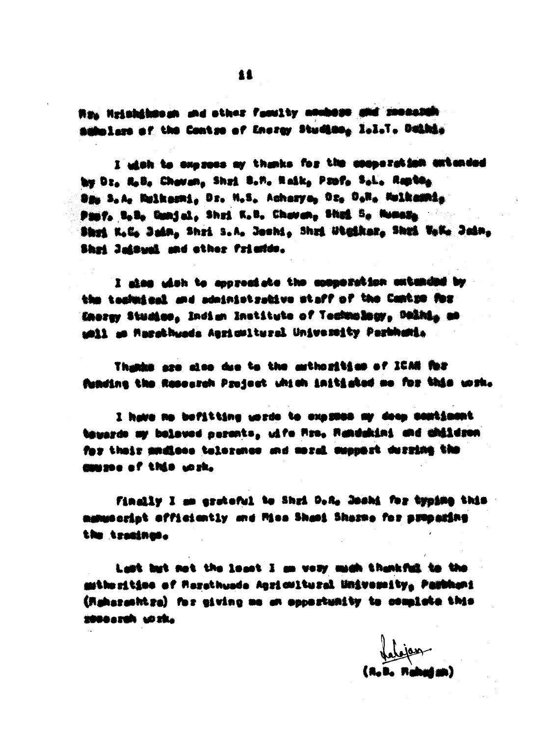The Heinhinness and ather family anabese and secondity makelers of the Contre of Energy Studies, I.I.T. Duinis

I wish to express my thanks for the comperation extended by Dr. R.B. Cheven, Shri B.M. Raik, Prof. S.L. Repts. Sau S.A. Maikashi. Dr. M.S. Acharya, Oz. O.N. Mulkawhi. Past, t.t. Gunjal, Shri K.t. Charan, Shai S. Russa. Shot K.C. Jain, Shri S.A. Joshi, Shri Wigikar, Shot W.K. Jain, Shai Jalousi and other friends.

I also wish to appressed to cooperation extended by the technical and administrative staff of the Cantro for Energy Studies, Indian Institute of Technology, Delhis as whil as harethuses Agricultural University Parkhanis

Thanks are also due to the asthorities of ICAN for funding the Resourch Project which initiated me for this work.

I have no befitting words to express my deep comtinent. tawards my belaved nerents, utfo fire, fighdghint and children for their andiess telergees and moral assumer derring the common of this work.

Finally I am erstaful to Shri D.A. Joshi for typing this manuscript officiently and Miss Shasi Sharme for swooning the tractness.

Last but not the losst I am very mach thankful to the mithesitime of Masathuada Agsicultural University, Pambhani (Rahazashtza) for giving me an apportunity to complete this 2000azuk 102ks

labjan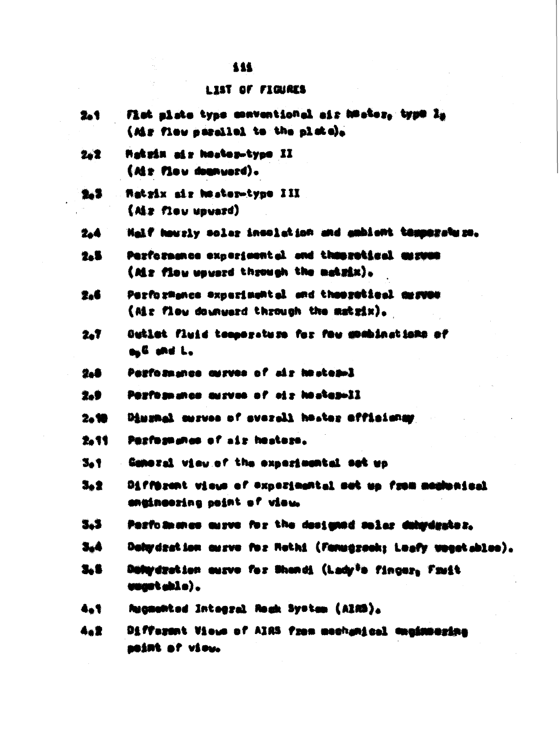#### 111

#### **LIST OF FIGURES**

- Fist siste type conventional air heater, type Is 2.1 (Mr flow secaled to the plote).
- **Matzin air heater-type II** 2.2  $(M + M - d)$  .
- Retrix air heater-type III  $2.3$  $(A)$   $x$   $f1$   $y$   $y$   $y$   $y$   $f$  $f$ )
- Half hourly solar incolation and ambient temperature. 2.4
- Performance experimental and theoretical aurume 2.5 (Mr flow usuard through the makrix).
- Parformance experimental and theoretical derves 2.6 (Mr flow downward through the matrix).
- Outlet fluid temperature for fou mombinations of 2.T ogli and La
- Parforment as no course of the stand 2.8
- 2.9 Performance aurves of eix hostenwil
- Diugnal curves of sverall heater efficiansy  $2 - 10$
- 2.11 Parformates of air heaters.
- 3.1 Cameral view of the experimental set up
- 3.2 Different views of experimental set un from memberical engingoring point of view.
- 3.3 Pasto manes mirve for the designed maler dehardrates.
- 3.4 Daty drat ion auxve for Rothi (Fanugrook; Loafy wogot ables).
- 3.6 Dufurdration ausvo for Shondi (Ladr<sup>i</sup>o fincer, Fruit waart akle).
- **Macnowted Integral Reak System (AIRS).** 4.1
- Different Views of AIRS from mechanical enginmering 4.2 **BOSING OF VSOUL**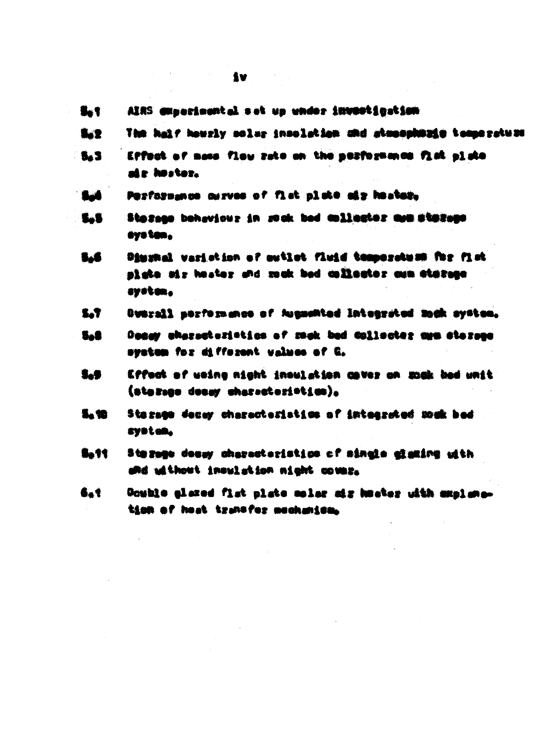$\label{eq:1} \frac{1}{\sqrt{2\pi}}\sum_{i=1}^{\infty}\frac{1}{\sqrt{2\pi}}\left(\frac{1}{\sqrt{2\pi}}\sum_{i=1}^{\infty}\frac{1}{\sqrt{2\pi}}\sum_{i=1}^{\infty}\frac{1}{\sqrt{2\pi}}\sum_{i=1}^{\infty}\frac{1}{\sqrt{2\pi}}\sum_{i=1}^{\infty}\frac{1}{\sqrt{2\pi}}\sum_{i=1}^{\infty}\frac{1}{\sqrt{2\pi}}\sum_{i=1}^{\infty}\frac{1}{\sqrt{2\pi}}\sum_{i=1}^{\infty}\frac{1}{\sqrt{2\pi}}\sum_{$ 

 $\label{eq:2.1} \mathcal{L}(\mathcal{L}^{\text{max}}_{\mathcal{L}}(\mathcal{L}^{\text{max}}_{\mathcal{L}})) \leq \mathcal{L}(\mathcal{L}^{\text{max}}_{\mathcal{L}}(\mathcal{L}^{\text{max}}_{\mathcal{L}}))$ 

|             | iv.                                                                                                                    |
|-------------|------------------------------------------------------------------------------------------------------------------------|
| $\bullet$   | AINS amparimental sot up under investigation.                                                                          |
| <b>Ba2</b>  | The half hously solar insolation and stampshould temperature                                                           |
| <b>S.S.</b> | Effect of mass flow rate on the porformance fist plate<br>ate hoster.                                                  |
| <b>But</b>  | Performance ourves of fist plate air heater.                                                                           |
| 5.5         | Stazean behaviour in soak bed aslienter aum stazean<br>ays tan.                                                        |
| <b>S.6</b>  | Dimmel varietion of suilot fluid temperstum for fist<br>plate sir hester and musk bed collector cum starsge<br>ayatan, |
| 5.7         | Byarall serformance of Augmanied Integrated much system,                                                               |
| 5.8         | Danay characteristics of mack bed dollecter mem stereos<br>system for different values of Q.                           |
| <b>S.S</b>  | Effect of weine night inoulation cover on zuck had unit<br>(atozano denay characteri <sup>st</sup> ics),               |
| 5. 10       | Stegage decay characteristics of integrated wak bed<br>system,                                                         |
| 8.11        | Sterage deasy characteristics of single eleming with<br>and uithout inoulation night couse.                            |
| 6.1         | Counte glazed fist plate moles ais heater with anglang-<br>tion of heat transfer mechanism.                            |

 $\label{eq:2.1} \frac{1}{\sqrt{2}}\int_{0}^{\infty}\frac{1}{\sqrt{2\pi}}\left(\frac{1}{\sqrt{2\pi}}\right)^{2}d\mu\,d\mu\,.$ 

 $\label{eq:2.1} \frac{1}{\sqrt{2\pi}}\int_{\mathbb{R}^{3}}\left|\frac{d\mathbf{r}}{d\mathbf{r}}\right|^{2}d\mathbf{r}=\frac{1}{2\sqrt{2\pi}}\int_{\mathbb{R}^{3}}\left|\frac{d\mathbf{r}}{d\mathbf{r}}\right|^{2}d\mathbf{r}$ 

 $\label{eq:2} \begin{array}{l} \mathcal{L}_{\text{max}} \\ \mathcal{L}_{\text{max}} \\ \mathcal{L}_{\text{max}} \end{array}$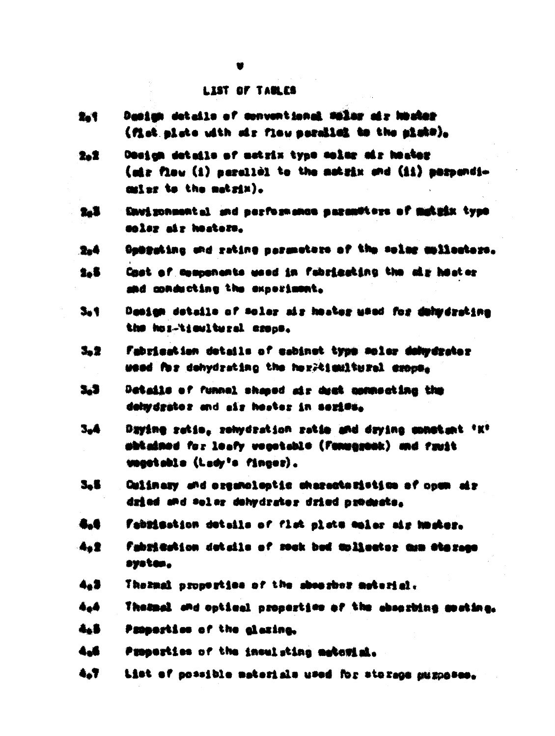#### LIST OF TABLES

- Danim details of conventional males air hoster 2.1 (fist aiste uith air flau sarailei to the aisko),
- Dealem details of matrix type solar air heater 2.2 (air finu (1) narallòl to the matrix and (11) marsondimisr to the matrix).
- Eavi ronment al and merformance margariters of makels type 2.1 solar air heaters.
- Oppreting and reting parameters of the solar mullecture. 2.4
- 2.8 Cast of companies wood in fabricating the air heater and conducting the experiment.
- $3.1$ Deaign details of solar air heater weed for dehydrating the hos-tieultural essos.
- 3.2 Fabrication details of cabinet type moler delwdrater weed for dehydrating the heritienitural exemp.
- $3.3$ Details of funnel sheed air deat commenting the delaydrator and air heater in series.
- **3.4** Dzyinę ratio, rokydration rat**io and dzyine aphatan**t \*K<sup>+</sup> akkained for leafy vegetable (fameareak) and fruit usestable (Lady's fincer).
- **S.E.** Culinary and areamologic characteristics of comm air dried and soler dehydrator dried products.
- 4.6 Fabiisation details of flat plate ealer air homer.
- fabrication details of sock bed toligator cum stazes. 4.1 system.
- 4.3 Thezmal properties of the show roor meterial.
- $4 4$ Thespel and optimel properties of the shoothing gooting.
- 4.8 Properties of the alexing.
- $4.6$ Properties of the insulating material.
- $A T$ List of possible materials used for storage muzocses.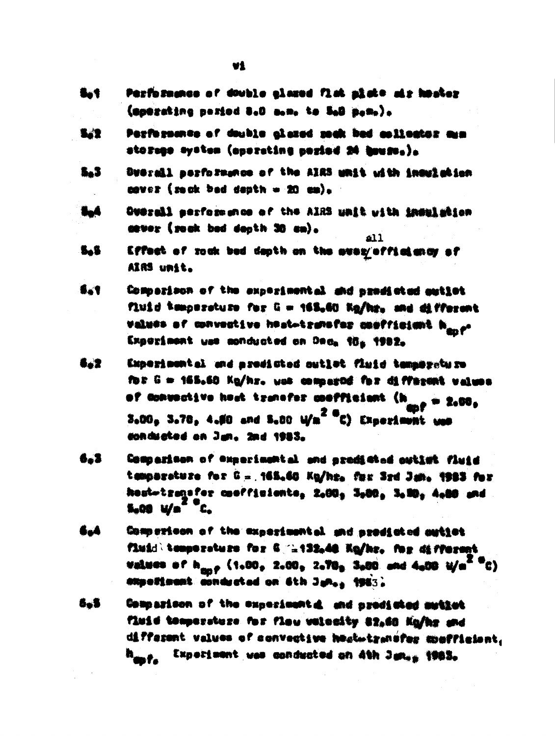- **Bot** Performance of double alared fisk alate air hoster (aperating pariod 8.0 a.m. to 5.0 p.m.).
- Performance of double glazed rock bed asilector amm 5,7 storege system (aporating poriod 24 hours.).
- $5 3$ Drerail performance of the AIRS unit with insulation caver (reck bed depth = 20 cm).
- $\bullet$ Overall serformence of the AIRS unit with inmaliation asver (soak bad danth 30 cm).  $\overline{a11}$
- 5.5 Effect of rock bed depth on the every officiency of AIRS unit.
- **B.T.** Comparison of the experimental and president autiot fluid temperature for G = 163.60 Ng/hr. and different **Values of convective heat-transfer coefficient have** Experiment was conducted on Dec<sub>a</sub> the 1982.
- 6.2 Experiment al and aredisted outlet fluid temperature for G = 155.50 Ko/hr. use compared for different values of convective hast transfer coofficient (h<sub>and</sub> = 2.00, 3.00. 3.78, 4.50 and 5.80 W/m<sup>2 a</sup>C) Experiment was conducted on Jun. 2nd 1983.
- Comparison of experimental and predicted outlet fluid 6.3 temparature for G = 165.60 Kg/hr. fax 3rd Jun. 1983 for hout-tragsfer coofficients, 2,00, 3,00, 3,00, 4,00 and  $S_000 \frac{M}{a}^2 C$
- 6.4 Comparison of the experimental and prodicted autiot fluid temperature for 6 11432.48 Ko/kr. for different values of h<sub>onf</sub> (1.00, 2.00, 2.70, 3.00 and 4.00 W/m<sup>2 O</sup>C) **Alipolisant conducted on Sth Junes 1963)**
- 6.5 Compasison of the experimential and predicted muticat Timid temperature for flow valuatily 22,00 Ka/hr and different values of convective heatwizenefer apofficient. Experiment was conducted on Ath June 1983.  $\mathbf{h}_{\mathbf{m}}\mathbf{r}_{\mathbf{a}}$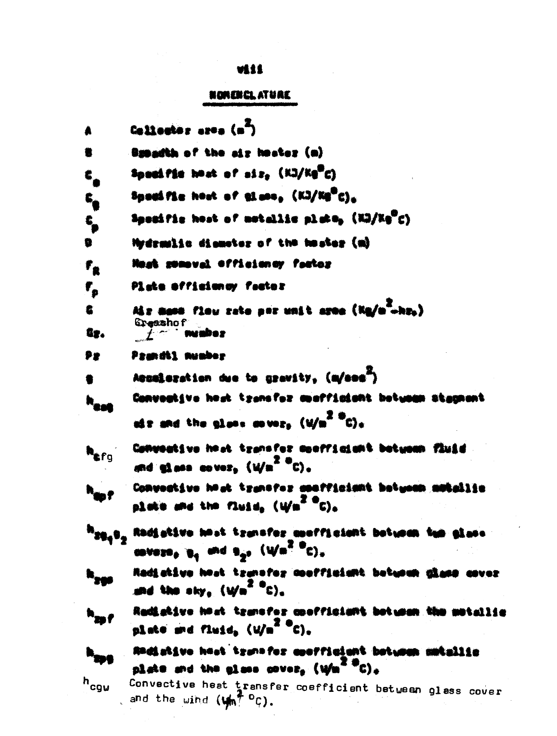### viii

### NORENCLATURE

| Å                | Collector area (m <sup>2</sup> )                                                                                                                                          |
|------------------|---------------------------------------------------------------------------------------------------------------------------------------------------------------------------|
| 着                | Busadth of the sir hester (a)                                                                                                                                             |
| €,               | Speekfie heat of siz, (KJ/Kg"C)                                                                                                                                           |
| $\epsilon$       | Spackfie heat of glass, (KJ/Kg"C)_                                                                                                                                        |
| c                | Specific heat of metallic plate, (NO/Ne"C)                                                                                                                                |
| 9                | Hydramlic diamoter of the heater (m)                                                                                                                                      |
| $r_{\rm a}$      | Nege someval officiency factor                                                                                                                                            |
| $\mathbf{r_{s}}$ | Plate officiency factor                                                                                                                                                   |
| $\bullet$        | Miz mann flow zate por unit area (Kg/m"-hz.)                                                                                                                              |
| Gr.              | Greeshof<br>minber                                                                                                                                                        |
| ₽₽               | Prandil Aumber                                                                                                                                                            |
|                  | Aesalerstion due to gravity, (m/see")                                                                                                                                     |
|                  | Convective hast trensfor morfisiont between stepnent                                                                                                                      |
|                  | off and the glass cover, $(\sqrt{m^2 + c})_+$                                                                                                                             |
|                  | Conventive hast transfer meetfielduit between fluid<br>and these cover, $(\psi/\pi^Z)^0 c$ .                                                                              |
|                  | Convective hadt transfor confficient between motallie<br>plate and the fluid, $(\psi n^Z \, {}^{\circ}\text{C})_n$                                                        |
|                  | <sup>h</sup> ag <sub>a</sub> g <sub>a</sub> Radiativa hest taansfor meefficiant between tam glase<br>covers, $\mathbf{u}_4$ and $\mathbf{u}_{2^2}$ (We <sup>2 o</sup> C), |
|                  | Radiakiya hest tzunafoz anaffiaiant betunun giang asvez<br>and the sky, $(y/\mathbf{n}^Z \cdot \mathbf{C})$ ,                                                             |
|                  | Radistive hast, transfer coofficiant bot wan<br>plate and fluid, $(y)^{20}$ $c)$ ,                                                                                        |
|                  | Andistive hast transfer confficient between metallic<br>plate and the glass gover. $(\mathcal{W}^{\mathbb{Z}^{\mathbb{Z}^{\mathbb{Z}}}}_{\mathbb{C}})_{\mathbb{A}}$       |
| n<br>Cgw         | Convective heat transfer coefficient between glass cover<br>and the wind $(\psi_{m}^{\pi})^0C$ .                                                                          |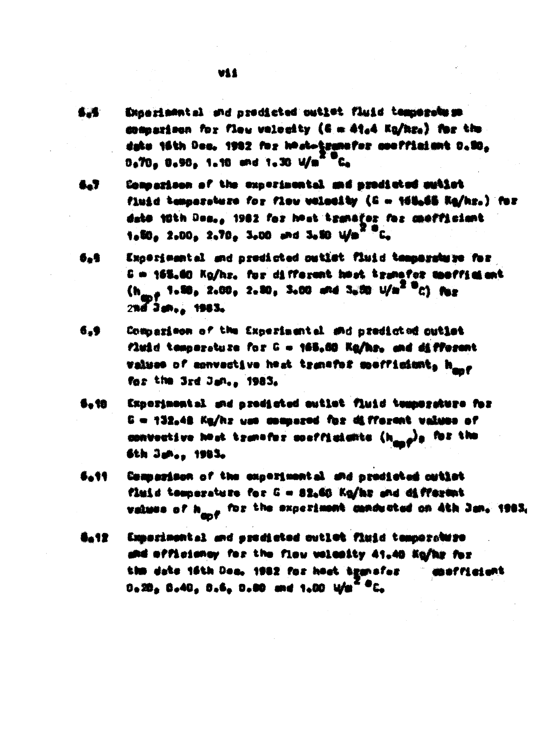- Exactions: al and prodicted outlet fluid temperature 6.4 commarison for flow velocity (6 m 4t.4 Ka/hz.) for the data 16th Dec. 1982 for host-transfer sectionant D.DC. 0.70. 0.90. 1.10 and 1.30 W/m<sup>2 D</sup>C.
- Comparison of the experimental and needicted sutiet 6.7 fluid temperature for flow velocity (S = 165.65 Kg/hr.) for date 18th Des., 1982 for heat transfer for mefficient 1.50, 2.00, 2.70, 3.00 and 3.50 Wm<sup>x a</sup>C.
- Exceriesmial and predicted outlet fluid temperature for 6.9 G = 155.60 Kg/hz, for different heat transfer moffielent  $(h_{\text{max}} + 1.50, 2.00, 2.50, 3.00,$  and  $3.00, 1/n^2, 0.0)$  for 246 Jan., 1983,
- Commarison of the Exnerimental and predicted cutiet  $6.9$ fluid temperature for G = 165.00 Ka/hr. and different values of convective heat transfer meetficient, hang for the 3rd Jan., 1983,
- 6. 10 Experimental and arediated sutlet fluid temperature for C = 132,48 Kg/hz you compared for different values of convective heat transfer confficients  $\{h_{\max}\}_0$  for the 6th Junes 1983.
- **Sa11** Comparison of the experimental and prodicted cution fluid temperature for G = 82.60 Kg/hr and different values of h<sub>and</sub> for the experiment canducted on Ath Jan. 1983,
- **Ga12** Experimental and prodicted outlet fluid temperature and afficiency for the flow welcoity 41.40 Ko/hr for the date 16th Dea, 1982 for heat transfer maffieight  $0.20 \pm 0.40$ ,  $0.6$ ,  $0.80$  and  $1.00$  Wa<sup>4 8</sup>C.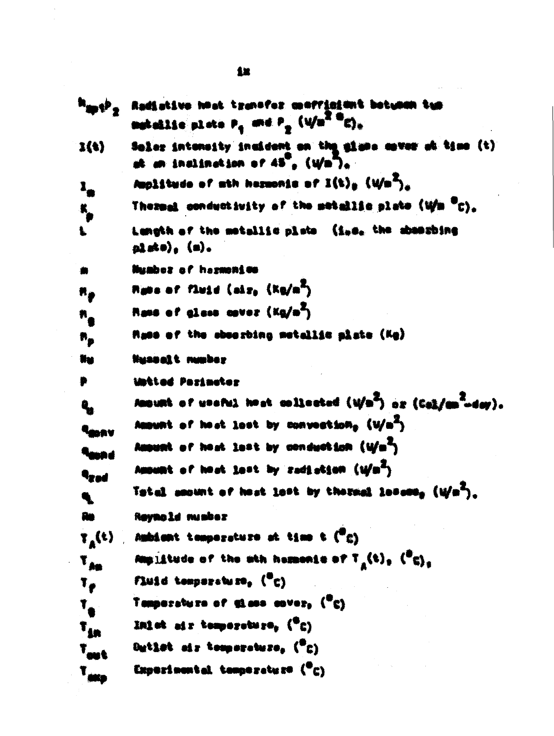|                                      | -Radiative heat transfer meerinient between tus<br>matellie plate $P_q$ and $P_q$ (V/m <sup>2 m</sup> C).      |
|--------------------------------------|----------------------------------------------------------------------------------------------------------------|
| $\mathbf{1}(\mathbf{t})$             | Solar intensity inaident on the sime mover of time (t)<br>at an inslination of $45^{\circ}$ , $(\sqrt{m^2})_+$ |
| l,                                   | Amplitude of min hermonis of $I(t)_0$ (Wm <sup>2</sup> ).                                                      |
| $\mathbf{K}_p$                       | Thermal conductivity of the metallic plate (Wm "C).                                                            |
| $\mathbf{L}$                         | Lungih of the metallic plate (i.e. the abustring<br>$\mathbf{p}_n^*$ ste $\rho_n$ (a).                         |
| ₩                                    | Mymbez of hazmonics                                                                                            |
| $\boldsymbol{\ast}_{\boldsymbol{p}}$ | <b>Rake of fluid (siz, (Kg/m<sup>2</sup>)</b>                                                                  |
| $\boldsymbol{n}_{\bullet}$           | Rams of glass cover (Kg/m <sup>2</sup> )                                                                       |
| $\bm{n_p}$                           | Rame of the sbeezhing metallie plate (Kg)                                                                      |
| Ww                                   | Nuabalt number                                                                                                 |
| ₩                                    | libeted Pazimeter                                                                                              |
| $\mathbf{q}_{\mathbf{a}}$            | Amount of useful heat collected $(\psi/\mathfrak{m}^2)$ or $(\mathbb{G}\mathfrak{a})/\mathfrak{m}^2$ -day).    |
| lmav                                 | Amount of heat lest by convection, $\langle V/a^2 \rangle$                                                     |
| lang d                               | Amount of heat lest by conduction (4/m <sup>2</sup> )                                                          |
| 4red                                 | Amount of heat lest by radiation (i/m <sup>2</sup> )                                                           |
|                                      | Total securi of hest lost by thermal lesses <sub>s</sub> (W/m <sup>2</sup> ).                                  |
|                                      | <b>Reynold minber</b>                                                                                          |
| $\mathbf{y}_\mathbf{A}(t)$           | Ambient temperature at time t ("c)                                                                             |
| $T_{A\bullet}$                       | Amplitude of the sth hermonic of $T_n(t)_0$ ( $\binom{n}{0}_n$                                                 |
| $T_{\text{r}}$                       | Fluid temperature, ("c)                                                                                        |
| $\mathbf{T}_\bullet$                 | Tamparaturn of 51.000 enver, ("C)                                                                              |
| $T_{4n}$                             | Inlet air temperature, $(°c)$                                                                                  |
| $T_{\text{out}}$                     | Butlet air temperature, $(T_C)$                                                                                |
| T <sub>alig</sub>                    | Experimental tamperature $(\overline{\phantom{a}}_C)$                                                          |
|                                      |                                                                                                                |

 $\frac{1}{2}$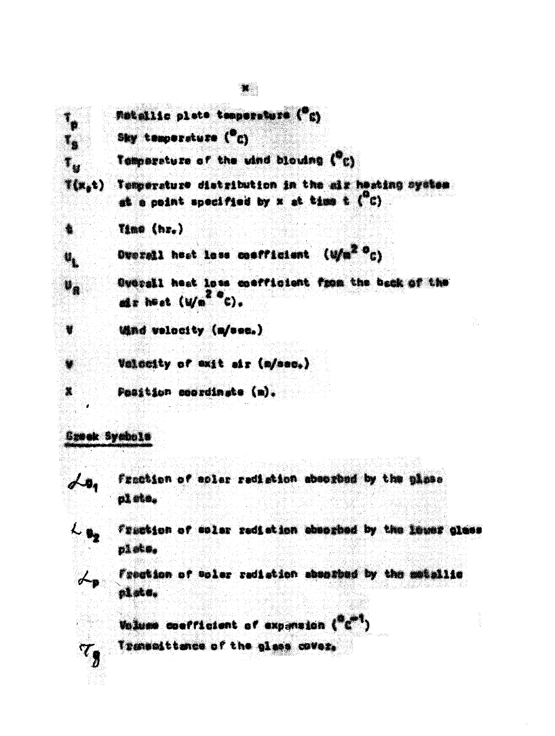Fistallio plate temperature ("c)

Sky temperature (<sup>0</sup>C)

Temperature of the wind blowing ("c)

Temperature distribution in the air heating system  $\mathbf{f}(\mathbf{x},t)$ at a point specified by  $x$  at time t  $(^\circ c)$ 

Time (hr.)

Overell hest loss coefficient (W/m<sup>2 O</sup>C)

Overall heat loss coefficient from the back of the als heat  $(W_0^2)^2$ C).

Wind velocity (m/sec.)

Valueity of exit sir (m/sec.)

Position coordinate (m).

Groek Symbole

 $\lambda$ 

 $\mathbf{I}_4$ 

 $\mathbf{r}_{\alpha}$ 

欚

 $\boldsymbol{u}_t$ 

 $\mathbf{v}_\mathbf{a}$ 

¥

 $\blacksquare$ 

纂

fraction of esler redistion absorbed by the plase nl ste.



 $\tau_g$ 

Fraction of solar redistion absorbed by the lower glass plate.

Freation of woler radiation absorbed by the metallic plate.

Volume coefficient of expansion ("C")

Trememittance of the glass cover,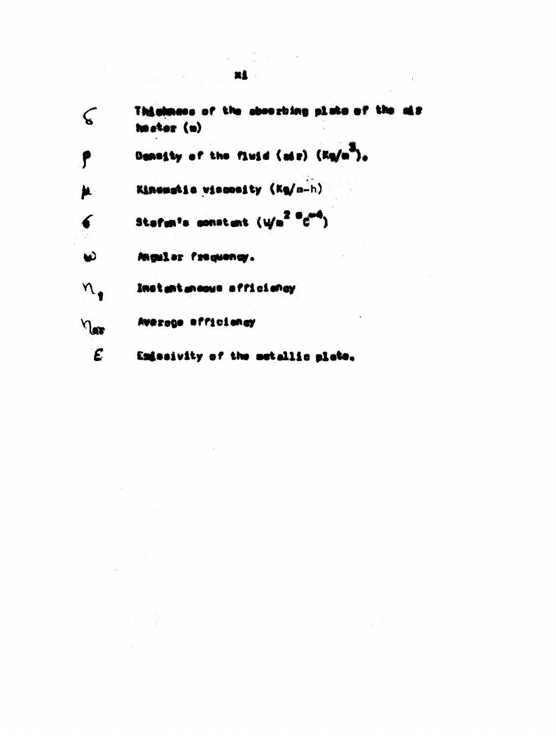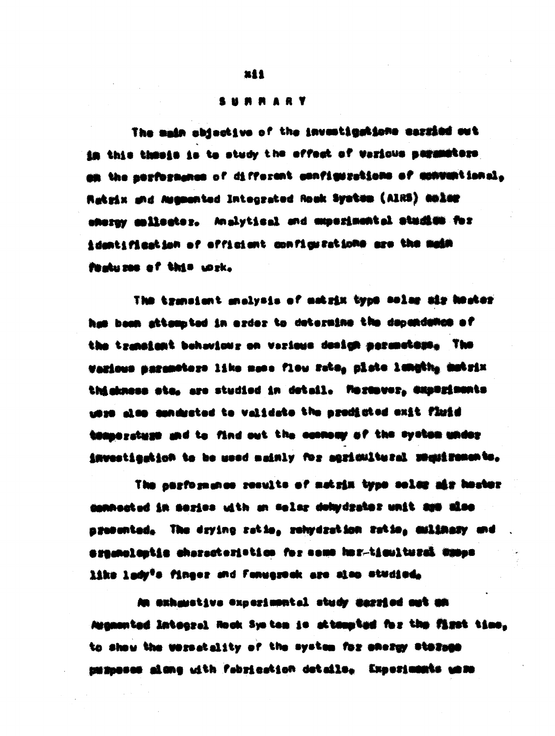#### SURRARY

The main abiactive of the investigations carried out in this thesis is to study the offect of vericus parameters. am the nerformance of different configurations of conventional, Ratzix and Augmented Integrated Rook System (AIRS) amist sherpy collector. Analytical and maperimental stadies for identification of officient configurations are the medifrakuzen of this wirk.

The transient analysis of matrix type solar mir hoater has been attempted in azdez to determine the dependance of the transient behaviour on verious design persentage. The Various saremotors like mese flow reto, plate length, matrix thishness ate, are studied in detail. Marmover, experiments wise also aphareted to validate the arounded exit finid temporature and to find out the company of the system under investigation to be used mainly for agrimitural smaximents,

The gastosmance secults of matsix type soles mis hoster. connected in series with an selar dobydrater unit ago also. procented, The drying ratio, rehydration ratio, milinery and argemalantia cherecteristica for some har-ticulturel wapps like lady<sup>0</sup>s finger and fanugseak are also studied,

An exhaustive experimental study married out mn Asgmented Integral Rock System is attempted for the first time. to show the westedity of the system for energy starses segment alone with fabrication details. Experiments were

**xii**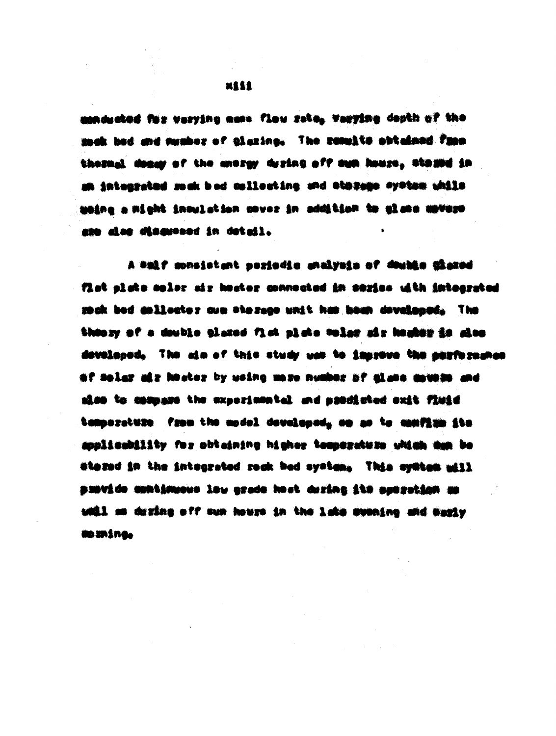maducted for varying mess. Flow rate, varying depth of the mak bad and member of glazing. The remults abtained fram thesual deasy of the messy desing off sum house, those in an integrated much bed collocting and otorage system while Welfas a might insulation gover in addition to also anisu are also dismossed in detail.

beside about to storie stations situation factors that A fist siste moler air hester connected in series with integrated mak bed milleater ave therego unit has been doveloped. The theory of a deuble glazed fist plate toles air heater is also developed, The aim of this study was to improve the porformance of solar air knater by using more number of alane anyone and aiss to compare the experienctel and prodicted exit field tamperature from the model developed, on as to confirm its soulicability for obtaining higher temerature which can be thesed in the integrated rock bed system. This system will a matisation and aft animal south work and monocology and an well as dising off sun house in the late avening and samiy **MO SHING.** 

**MAAA**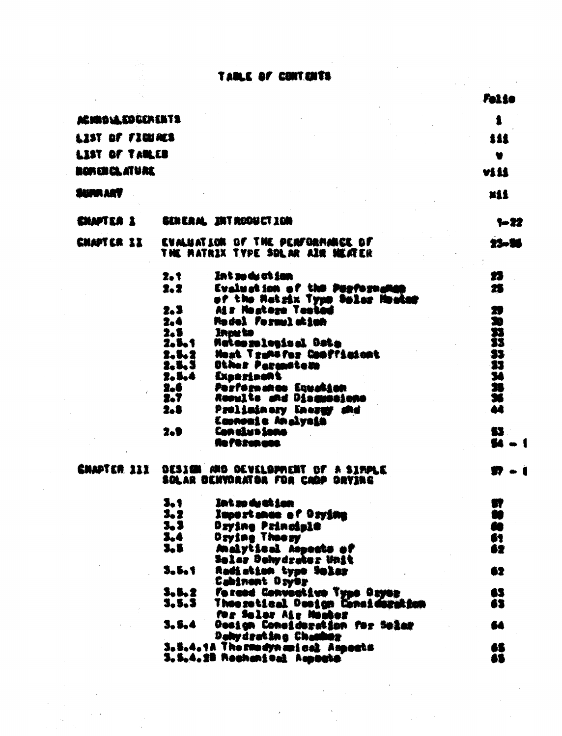### TAILE OF CONTENTS

 $\hat{\lambda}$  ,  $\hat{\lambda}$ 

ti<br>1

 $\hat{\boldsymbol{\epsilon}}$ 

|                   |                           |                                                                        | Felio       |
|-------------------|---------------------------|------------------------------------------------------------------------|-------------|
| ACIDOLA COUERENTS |                           |                                                                        |             |
| LIST OF FIRM RES  |                           |                                                                        | 111         |
| LIST OF TANLES    |                           |                                                                        | $\bullet$   |
| NOREREL ATURE     |                           |                                                                        | VIII        |
|                   |                           |                                                                        |             |
| iunn ART          |                           |                                                                        | <b>Mill</b> |
| CHAPTER 1         |                           | GENERAL INTRODUCTION                                                   | $-22$       |
| <b>CHAPTER 11</b> |                           | EVALUATION OF THE PERFORMANCE OF<br>THE MATRIX TYPE SOLAR AIR HEATER   | 23-36       |
|                   | $2 + 1$                   | In't so dy at jan                                                      | 23          |
|                   | 2.2                       | Evaluation of the Payformakes                                          | 25          |
|                   | 2.3                       | of the Matzix Type Solar Houter<br>Air Nestere Tested                  | XI          |
|                   | 2.4                       | Model Formelation                                                      | æ           |
|                   | 2.5<br>2.5.1              | <b>Inou to</b><br><b>Mates releated Data</b>                           | N<br>SS     |
|                   | $2 - 5 - 2$               | Heat Tramster Confficers                                               |             |
|                   | 2.5.3<br>2.5.4 Experiment | Other Parancters                                                       |             |
|                   | 2.6                       | Performates Equalian                                                   | なだとない       |
|                   | 2.7                       | Rosults and Diaguasians                                                |             |
|                   | 2.B                       | Prolininary Inergy me<br><u>Easnemie Analysie</u>                      | 44          |
|                   | 2.9                       | <b>Conclusions</b>                                                     | 53          |
|                   |                           | Reftsenann                                                             | 64<br>- 1   |
| CHAPTER 111       |                           | DESIGN AND DEVELOPMENT OF A SIMPLE<br>SOLAR DENYORATOR FOR CAOP ORYING | D - 1       |
|                   | 3, 1                      | Int so de at Lon                                                       | UT          |
|                   | 3.2                       | Importance of Drying                                                   | M           |
|                   | 3.3<br>3.4                | Dzyine Principle<br>Dzyine Thaezy                                      | íO<br>61    |
|                   | 3.5                       | Malytical Aspects of                                                   | 62          |
|                   | 3.5.1                     | Solar Dehydrator Unit                                                  |             |
|                   |                           | Radistian type Sular<br>Cabinent Dryer                                 | 62          |
|                   | 3.5.2                     | Faxeed Conventive Type Dayes                                           | 65          |
|                   | 3.5.3                     | Theorotical Design Consideration<br>for Solor Air Monber               | 63          |
|                   | 3.5.4                     | Dosign Consideration for Seler                                         | 64          |
|                   |                           | Dahydrating Chamber<br>S.S.4.1A The medyn mind. Aspects                | 65          |
|                   |                           | 3.5.4.20 Rochanical Augusta                                            | 65          |
|                   |                           |                                                                        |             |

 $\label{eq:2} \frac{1}{2} \int_{\mathbb{R}^3} \left| \frac{d\mu}{d\mu} \right|^2 \, d\mu = \frac{1}{2} \int_{\mathbb{R}^3} \left| \frac{d\mu}{d\mu} \right|^2 \, d\mu$ 

 $\bar{\epsilon}$ 

 $\sum_{\substack{ \mathbf{p} \in \mathbb{R}^n \\ \mathbf{p} \in \mathbb{R}^n \\ \mathbf{p} \in \mathbb{R}^n \\ \mathbf{p} \in \mathbb{R}^n \\ \mathbf{p} \in \mathbb{R}^n \\ \mathbf{p} \in \mathbb{R}^n \\ \mathbf{p} \in \mathbb{R}^n \\ \mathbf{p} \in \mathbb{R}^n \\ \mathbf{p} \in \mathbb{R}^n \\ \mathbf{p} \in \mathbb{R}^n \\ \mathbf{p} \in \mathbb{R}^n \\ \mathbf{p} \in \mathbb{R}^n \\ \mathbf{p} \in \$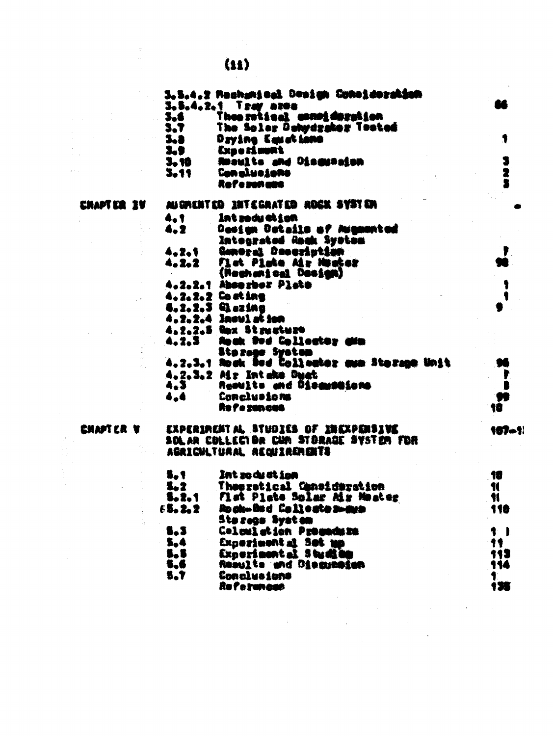3.5.4.2 Rechanizel Design Concideration 3.5.4.2.1 Tray area Theo retical compideration 3.6 The Solar Dehydrahor Tested 3.7 Daying Kenstimme 1 **3.a** Export mont 3.9 Roowlts and Oingerains 3 3.10  $\tilde{\mathbf{z}}$ 3.11 Con alusiano Roferonano **CHAPTER IV** AUGHENTED INTEGRATED ROCK SYSTEM 4.1 Int rody at jon Design Datails of Augustad 4,2 Integrated Rock System  $4.2.1$ Conoral Deseription ₽ Flat Plate Mr Heater 4.2.2 (Reghanical Design) 4.2.2.1 Absorber Plate 4.2.2.2 Costing ٠ 4.2.2.3 Qezina 4.2.2.4 Insul at iam 4.2.2.5 Nox Structure  $4, 2, 3$ **finale Dod Collector alla** Stozage System 4.2.3.1 Rock Bed Collector man Storage Unit 96 4.2.3.2 Mr Inteke Duct Results and Discussions  $4.3<sub>1</sub>$ Conclusions 4.4 Re Pe zancas EXPERIMENT AL STUDIES OF INCOPERSIVE

|  | ENAPTER V |  |
|--|-----------|--|
|  |           |  |

à.

## SEALAR COLLECTOR CAM STORAGE SYSTEM FOR AGRICULTURAL REQUIRERENTS

| 5.1          | Int so de at Lon             | -10          |
|--------------|------------------------------|--------------|
| 5.2          | Theoratical Canaideration    | ¶            |
| 5.2.1        | Flat Plate Solar Mir Mester  | $\mathbf{M}$ |
| 65.2.2       | Rock-Ded Collectes-are       | -110         |
|              | Sta zaga. Syat an            |              |
| $\bullet$ .3 | <b>Coloulation Progedize</b> |              |
| $-5,4$       | Experiment at Set up         | 11           |
| 5.5          | Experiment al. 5 hu mi bip   | 111          |
| 5,6          | Results and Discussion       | 114          |
| 5.7          | <b>Conclusions</b>           |              |
|              | Ro l'e rancae                | i ve         |

187-1